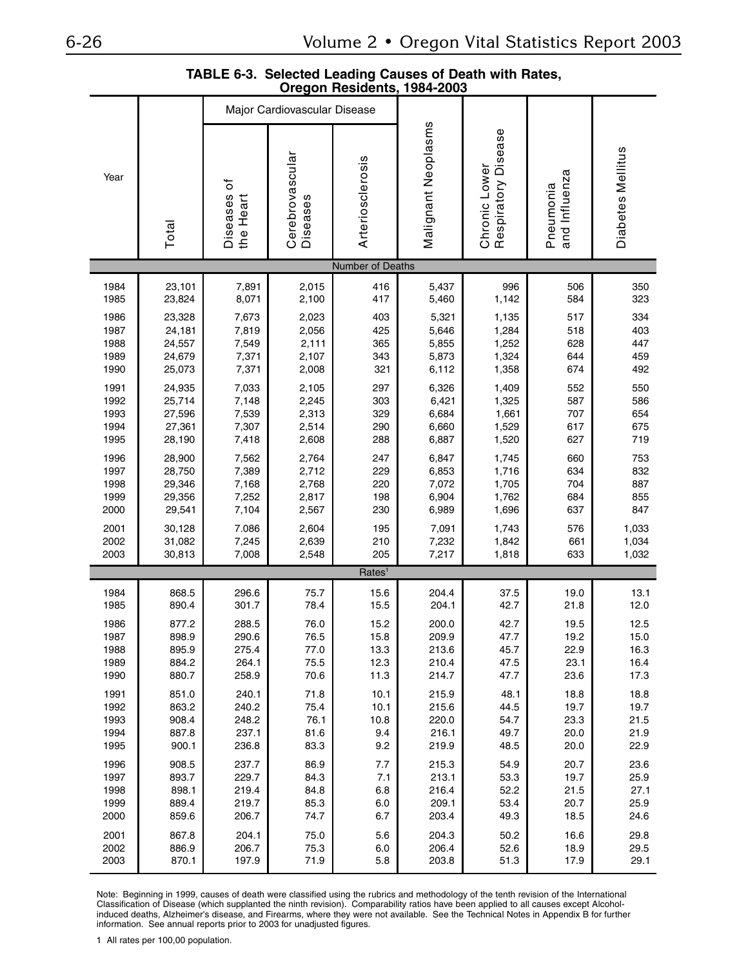|                                                                                                                                                                                                                                                                                                                                                                                                                                                                                                                                      |                  |                              |                             |                    | Oregon Residents, 1984-2003 |                                      |                            |                   |  |  |
|--------------------------------------------------------------------------------------------------------------------------------------------------------------------------------------------------------------------------------------------------------------------------------------------------------------------------------------------------------------------------------------------------------------------------------------------------------------------------------------------------------------------------------------|------------------|------------------------------|-----------------------------|--------------------|-----------------------------|--------------------------------------|----------------------------|-------------------|--|--|
|                                                                                                                                                                                                                                                                                                                                                                                                                                                                                                                                      |                  | Major Cardiovascular Disease |                             |                    |                             |                                      |                            |                   |  |  |
| Year                                                                                                                                                                                                                                                                                                                                                                                                                                                                                                                                 | Total            | ৳<br>Diseases<br>the Heart   | Cerebrovascular<br>Diseases | Arteriosclerosis   | Malignant Neoplasms         | Chronic Lower<br>Respiratory Disease | and Influenza<br>Pneumonia | Diabetes Mellitus |  |  |
|                                                                                                                                                                                                                                                                                                                                                                                                                                                                                                                                      |                  |                              |                             | Number of Deaths   |                             |                                      |                            |                   |  |  |
| 1984                                                                                                                                                                                                                                                                                                                                                                                                                                                                                                                                 | 23,101           | 7,891                        | 2,015                       | 416                | 5,437                       | 996                                  | 506                        | 350               |  |  |
| 1985                                                                                                                                                                                                                                                                                                                                                                                                                                                                                                                                 | 23,824           | 8,071                        | 2,100                       | 417                | 5,460                       | 1,142                                | 584                        | 323               |  |  |
| 1986                                                                                                                                                                                                                                                                                                                                                                                                                                                                                                                                 | 23,328           | 7,673                        | 2,023                       | 403                | 5,321                       | 1,135                                | 517                        | 334               |  |  |
| 1987<br>1988                                                                                                                                                                                                                                                                                                                                                                                                                                                                                                                         | 24,181<br>24,557 | 7,819<br>7,549               | 2,056<br>2,111              | 425<br>365         | 5,646<br>5,855              | 1,284<br>1,252                       | 518<br>628                 | 403<br>447        |  |  |
| 1989                                                                                                                                                                                                                                                                                                                                                                                                                                                                                                                                 | 24,679           | 7,371                        | 2,107                       | 343                | 5,873                       | 1,324                                | 644                        | 459               |  |  |
| 1990                                                                                                                                                                                                                                                                                                                                                                                                                                                                                                                                 | 25,073           | 7,371                        | 2,008                       | 321                | 6,112                       | 1,358                                | 674                        | 492               |  |  |
| 1991<br>1992                                                                                                                                                                                                                                                                                                                                                                                                                                                                                                                         | 24,935<br>25,714 | 7,033<br>7,148               | 2,105<br>2,245              | 297<br>303         | 6,326<br>6,421              | 1,409<br>1,325                       | 552<br>587                 | 550<br>586        |  |  |
| 1993                                                                                                                                                                                                                                                                                                                                                                                                                                                                                                                                 | 27,596           | 7,539                        | 2,313                       | 329                | 6,684                       | 1,661                                | 707                        | 654               |  |  |
| 1994<br>1995                                                                                                                                                                                                                                                                                                                                                                                                                                                                                                                         | 27,361<br>28,190 | 7,307<br>7,418               | 2,514<br>2,608              | 290<br>288         | 6,660<br>6,887              | 1,529<br>1,520                       | 617<br>627                 | 675<br>719        |  |  |
| 1996                                                                                                                                                                                                                                                                                                                                                                                                                                                                                                                                 | 28,900           | 7,562                        | 2,764                       | 247                | 6,847                       | 1,745                                | 660                        | 753               |  |  |
| 1997<br>1998                                                                                                                                                                                                                                                                                                                                                                                                                                                                                                                         | 28,750<br>29,346 | 7,389<br>7,168               | 2,712<br>2,768              | 229<br>220         | 6,853<br>7,072              | 1,716<br>1,705                       | 634<br>704                 | 832<br>887        |  |  |
| 1999                                                                                                                                                                                                                                                                                                                                                                                                                                                                                                                                 | 29,356           | 7,252                        | 2,817                       | 198                | 6,904                       | 1,762                                | 684                        | 855               |  |  |
| 2000                                                                                                                                                                                                                                                                                                                                                                                                                                                                                                                                 | 29,541           | 7,104                        | 2,567                       | 230                | 6,989                       | 1,696                                | 637                        | 847               |  |  |
| 2001<br>2002                                                                                                                                                                                                                                                                                                                                                                                                                                                                                                                         | 30,128<br>31,082 | 7.086<br>7,245               | 2,604<br>2,639              | 195<br>210         | 7,091<br>7,232              | 1,743<br>1,842                       | 576<br>661                 | 1,033<br>1,034    |  |  |
| 2003                                                                                                                                                                                                                                                                                                                                                                                                                                                                                                                                 | 30,813           | 7,008                        | 2,548                       | 205                | 7,217                       | 1,818                                | 633                        | 1,032             |  |  |
|                                                                                                                                                                                                                                                                                                                                                                                                                                                                                                                                      |                  |                              |                             | Rates <sup>1</sup> |                             |                                      |                            |                   |  |  |
| 1984                                                                                                                                                                                                                                                                                                                                                                                                                                                                                                                                 | 868.5            | 296.6                        | 75.7                        | 15.6               | 204.4                       | 37.5                                 | 19.0                       | 13.1              |  |  |
| 1985<br>1986                                                                                                                                                                                                                                                                                                                                                                                                                                                                                                                         | 890.4<br>877.2   | 301.7<br>288.5               | 78.4<br>76.0                | 15.5<br>15.2       | 204.1<br>200.0              | 42.7<br>42.7                         | 21.8<br>19.5               | 12.0<br>12.5      |  |  |
| 1987                                                                                                                                                                                                                                                                                                                                                                                                                                                                                                                                 | 898.9            | 290.6                        | 76.5                        | 15.8               | 209.9                       | 47.7                                 | 19.2                       | 15.0              |  |  |
| 1988                                                                                                                                                                                                                                                                                                                                                                                                                                                                                                                                 | 895.9            | 275.4                        | 77.0                        | 13.3               | 213.6                       | 45.7                                 | 22.9                       | 16.3              |  |  |
| 1989<br>1990                                                                                                                                                                                                                                                                                                                                                                                                                                                                                                                         | 884.2<br>880.7   | 264.1<br>258.9               | 75.5<br>70.6                | 12.3<br>11.3       | 210.4<br>214.7              | 47.5<br>47.7                         | 23.1<br>23.6               | 16.4<br>17.3      |  |  |
| 1991                                                                                                                                                                                                                                                                                                                                                                                                                                                                                                                                 | 851.0            | 240.1                        | 71.8                        | 10.1               | 215.9                       | 48.1                                 | 18.8                       | 18.8              |  |  |
| 1992<br>1993                                                                                                                                                                                                                                                                                                                                                                                                                                                                                                                         | 863.2<br>908.4   | 240.2<br>248.2               | 75.4<br>76.1                | 10.1<br>10.8       | 215.6<br>220.0              | 44.5<br>54.7                         | 19.7<br>23.3               | 19.7<br>21.5      |  |  |
| 1994                                                                                                                                                                                                                                                                                                                                                                                                                                                                                                                                 | 887.8            | 237.1                        | 81.6                        | 9.4                | 216.1                       | 49.7                                 | 20.0                       | 21.9              |  |  |
| 1995                                                                                                                                                                                                                                                                                                                                                                                                                                                                                                                                 | 900.1            | 236.8                        | 83.3                        | 9.2                | 219.9                       | 48.5                                 | 20.0                       | 22.9              |  |  |
| 1996<br>1997                                                                                                                                                                                                                                                                                                                                                                                                                                                                                                                         | 908.5<br>893.7   | 237.7<br>229.7               | 86.9<br>84.3                | 7.7<br>7.1         | 215.3<br>213.1              | 54.9<br>53.3                         | 20.7<br>19.7               | 23.6<br>25.9      |  |  |
| 1998                                                                                                                                                                                                                                                                                                                                                                                                                                                                                                                                 | 898.1            | 219.4                        | 84.8                        | 6.8                | 216.4                       | 52.2                                 | 21.5                       | 27.1              |  |  |
| 1999<br>2000                                                                                                                                                                                                                                                                                                                                                                                                                                                                                                                         | 889.4<br>859.6   | 219.7<br>206.7               | 85.3<br>74.7                | 6.0<br>6.7         | 209.1<br>203.4              | 53.4<br>49.3                         | 20.7<br>18.5               | 25.9<br>24.6      |  |  |
| 2001                                                                                                                                                                                                                                                                                                                                                                                                                                                                                                                                 | 867.8            | 204.1                        | 75.0                        | 5.6                | 204.3                       | 50.2                                 | 16.6                       | 29.8              |  |  |
| 2002                                                                                                                                                                                                                                                                                                                                                                                                                                                                                                                                 | 886.9            | 206.7                        | 75.3                        | 6.0                | 206.4                       | 52.6                                 | 18.9                       | 29.5              |  |  |
| 2003                                                                                                                                                                                                                                                                                                                                                                                                                                                                                                                                 | 870.1            | 197.9                        | 71.9                        | 5.8                | 203.8                       | 51.3                                 | 17.9                       | 29.1              |  |  |
| Note: Beginning in 1999, causes of death were classified using the rubrics and methodology of the tenth revision of the International<br>Classification of Disease (which supplanted the ninth revision). Comparability ratios have been applied to all causes except Alcohol-<br>induced deaths, Alzheimer's disease, and Firearms, where they were not available. See the Technical Notes in Appendix B for further<br>information. See annual reports prior to 2003 for unadjusted figures.<br>1 All rates per 100,00 population. |                  |                              |                             |                    |                             |                                      |                            |                   |  |  |

## **TABLE 6-3. Selected Leading Causes of Death with Rates, Oregon Residents, 1984-2003**